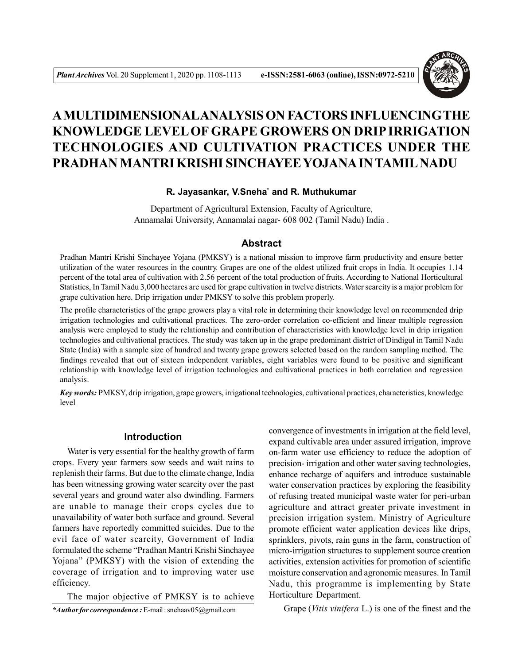

# **A MULTIDIMENSIONALANALYSIS ON FACTORS INFLUENCINGTHE KNOWLEDGE LEVEL OF GRAPE GROWERS ON DRIP IRRIGATION TECHNOLOGIES AND CULTIVATION PRACTICES UNDER THE PRADHAN MANTRI KRISHI SINCHAYEE YOJANA IN TAMIL NADU**

## **R. Jayasankar, V.Sneha\* and R. Muthukumar**

Department of Agricultural Extension, Faculty of Agriculture, Annamalai University, Annamalai nagar- 608 002 (Tamil Nadu) India .

## **Abstract**

Pradhan Mantri Krishi Sinchayee Yojana (PMKSY) is a national mission to improve farm productivity and ensure better utilization of the water resources in the country. Grapes are one of the oldest utilized fruit crops in India. It occupies 1.14 percent of the total area of cultivation with 2.56 percent of the total production of fruits. According to National Horticultural Statistics, In Tamil Nadu 3,000 hectares are used for grape cultivation in twelve districts. Water scarcity is a major problem for grape cultivation here. Drip irrigation under PMKSY to solve this problem properly.

The profile characteristics of the grape growers play a vital role in determining their knowledge level on recommended drip irrigation technologies and cultivational practices. The zero-order correlation co-efficient and linear multiple regression analysis were employed to study the relationship and contribution of characteristics with knowledge level in drip irrigation technologies and cultivational practices. The study was taken up in the grape predominant district of Dindigul in Tamil Nadu State (India) with a sample size of hundred and twenty grape growers selected based on the random sampling method. The findings revealed that out of sixteen independent variables, eight variables were found to be positive and significant relationship with knowledge level of irrigation technologies and cultivational practices in both correlation and regression analysis.

*Key words:* PMKSY, drip irrigation, grape growers, irrigational technologies, cultivational practices, characteristics, knowledge level

### **Introduction**

Water is very essential for the healthy growth of farm crops. Every year farmers sow seeds and wait rains to replenish their farms. But due to the climate change, India has been witnessing growing water scarcity over the past several years and ground water also dwindling. Farmers are unable to manage their crops cycles due to unavailability of water both surface and ground. Several farmers have reportedly committed suicides. Due to the evil face of water scarcity, Government of India formulated the scheme "Pradhan Mantri Krishi Sinchayee Yojana" (PMKSY) with the vision of extending the coverage of irrigation and to improving water use efficiency.

The major objective of PMKSY is to achieve *\*Author for correspondence :* E-mail : snehaav05@gmail.com

convergence of investments in irrigation at the field level, expand cultivable area under assured irrigation, improve on-farm water use efficiency to reduce the adoption of precision- irrigation and other water saving technologies, enhance recharge of aquifers and introduce sustainable water conservation practices by exploring the feasibility of refusing treated municipal waste water for peri-urban agriculture and attract greater private investment in precision irrigation system. Ministry of Agriculture promote efficient water application devices like drips, sprinklers, pivots, rain guns in the farm, construction of micro-irrigation structures to supplement source creation activities, extension activities for promotion of scientific moisture conservation and agronomic measures. In Tamil Nadu, this programme is implementing by State Horticulture Department.

Grape (*Vitis vinifera* L.) is one of the finest and the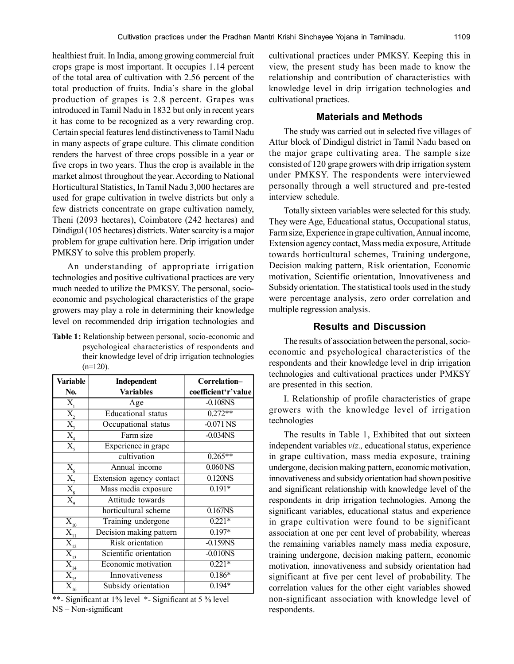healthiest fruit. In India, among growing commercial fruit crops grape is most important. It occupies 1.14 percent of the total area of cultivation with 2.56 percent of the total production of fruits. India's share in the global production of grapes is 2.8 percent. Grapes was introduced in Tamil Nadu in 1832 but only in recent years it has come to be recognized as a very rewarding crop. Certain special features lend distinctiveness to Tamil Nadu in many aspects of grape culture. This climate condition renders the harvest of three crops possible in a year or five crops in two years. Thus the crop is available in the market almost throughout the year. According to National Horticultural Statistics, In Tamil Nadu 3,000 hectares are used for grape cultivation in twelve districts but only a few districts concentrate on grape cultivation namely, Theni (2093 hectares), Coimbatore (242 hectares) and Dindigul (105 hectares) districts. Water scarcity is a major problem for grape cultivation here. Drip irrigation under PMKSY to solve this problem properly.

An understanding of appropriate irrigation technologies and positive cultivational practices are very much needed to utilize the PMKSY. The personal, socioeconomic and psychological characteristics of the grape growers may play a role in determining their knowledge level on recommended drip irrigation technologies and

**Table 1:** Relationship between personal, socio-economic and psychological characteristics of respondents and their knowledge level of drip irrigation technologies (n=120).

| <b>Variable</b>                                 | Independent               | Correlation-                 |  |
|-------------------------------------------------|---------------------------|------------------------------|--|
| No.                                             | <b>Variables</b>          | coefficient'r'value          |  |
| $X_{1}$                                         | Age                       | $-0.108$ NS                  |  |
|                                                 | <b>Educational</b> status | $0.272**$                    |  |
| $\frac{\overline{X}_2}{X_3}$                    | Occupational status       | $-0.071$ NS                  |  |
| $\overline{X}_4$                                | Farm size                 | $-0.034\overline{\text{NS}}$ |  |
| $\overline{X_{\varsigma}}$                      | Experience in grape       |                              |  |
|                                                 | cultivation               | $0.265**$                    |  |
|                                                 | Annual income             | $0.060$ <sub>NS</sub>        |  |
| $\frac{X_6}{X_7}$                               | Extension agency contact  | 0.120NS                      |  |
|                                                 | Mass media exposure       | $0.191*$                     |  |
| $\overline{\mathrm{X}}_{\scriptscriptstyle{9}}$ | Attitude towards          |                              |  |
|                                                 | horticultural scheme      | 0.167NS                      |  |
| $\bar{\textbf{X}}_{\underline{10}}$             | Training undergone        | $0.221*$                     |  |
| $\frac{\overline{X_{11}}}{\overline{X_{12}}}$   | Decision making pattern   | $0.197*$                     |  |
|                                                 | <b>Risk</b> orientation   | $-0.159NS$                   |  |
| $\overline{\mathbf{X}}_{\underline{13}}$        | Scientific orientation    | $-0.010$ <sub>NS</sub>       |  |
| $\overline{X}_{\underline{14}}$                 | Economic motivation       | $0.221*$                     |  |
| $\overline{X}_{\underline{15}}$                 | Innovativeness            | $0.186*$                     |  |
| $\overline{X_{_{16}}}$                          | Subsidy orientation       | $0.194*$                     |  |

\*\*- Significant at 1% level \*- Significant at 5 % level NS – Non-significant

cultivational practices under PMKSY. Keeping this in view, the present study has been made to know the relationship and contribution of characteristics with knowledge level in drip irrigation technologies and cultivational practices.

#### **Materials and Methods**

The study was carried out in selected five villages of Attur block of Dindigul district in Tamil Nadu based on the major grape cultivating area. The sample size consisted of 120 grape growers with drip irrigation system under PMKSY. The respondents were interviewed personally through a well structured and pre-tested interview schedule.

Totally sixteen variables were selected for this study. They were Age, Educational status, Occupational status, Farm size, Experience in grape cultivation, Annual income, Extension agency contact, Mass media exposure, Attitude towards horticultural schemes, Training undergone, Decision making pattern, Risk orientation, Economic motivation, Scientific orientation, Innovativeness and Subsidy orientation. The statistical tools used in the study were percentage analysis, zero order correlation and multiple regression analysis.

## **Results and Discussion**

The results of association between the personal, socioeconomic and psychological characteristics of the respondents and their knowledge level in drip irrigation technologies and cultivational practices under PMKSY are presented in this section.

I. Relationship of profile characteristics of grape growers with the knowledge level of irrigation technologies

The results in Table 1, Exhibited that out sixteen independent variables *viz.,* educational status, experience in grape cultivation, mass media exposure, training undergone, decision making pattern, economic motivation, innovativeness and subsidy orientation had shown positive and significant relationship with knowledge level of the respondents in drip irrigation technologies. Among the significant variables, educational status and experience in grape cultivation were found to be significant association at one per cent level of probability, whereas the remaining variables namely mass media exposure, training undergone, decision making pattern, economic motivation, innovativeness and subsidy orientation had significant at five per cent level of probability. The correlation values for the other eight variables showed non-significant association with knowledge level of respondents.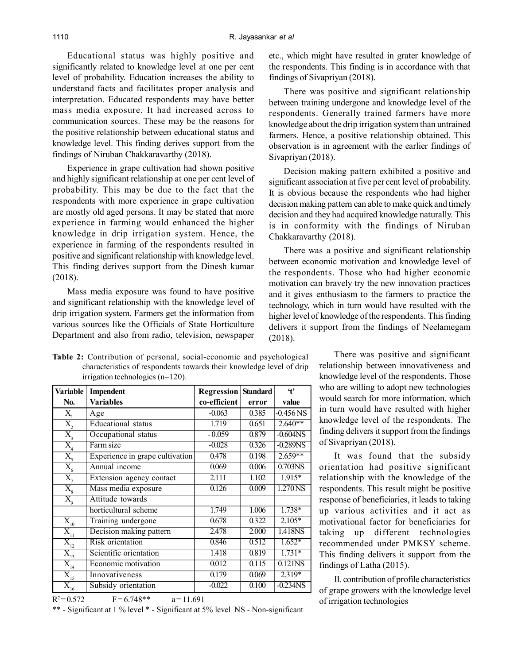Educational status was highly positive and significantly related to knowledge level at one per cent level of probability. Education increases the ability to understand facts and facilitates proper analysis and interpretation. Educated respondents may have better mass media exposure. It had increased across to communication sources. These may be the reasons for the positive relationship between educational status and knowledge level. This finding derives support from the findings of Niruban Chakkaravarthy (2018).

Experience in grape cultivation had shown positive and highly significant relationship at one per cent level of probability. This may be due to the fact that the respondents with more experience in grape cultivation are mostly old aged persons. It may be stated that more experience in farming would enhanced the higher knowledge in drip irrigation system. Hence, the experience in farming of the respondents resulted in positive and significant relationship with knowledge level. This finding derives support from the Dinesh kumar (2018).

Mass media exposure was found to have positive and significant relationship with the knowledge level of drip irrigation system. Farmers get the information from various sources like the Officials of State Horticulture Department and also from radio, television, newspaper

**Table 2:** Contribution of personal, social-economic and psychological characteristics of respondents towards their knowledge level of drip irrigation technologies (n=120).

**Variable Impendent Regression Standard 't'**

etc., which might have resulted in grater knowledge of the respondents. This finding is in accordance with that findings of Sivapriyan (2018).

There was positive and significant relationship between training undergone and knowledge level of the respondents. Generally trained farmers have more knowledge about the drip irrigation system than untrained farmers. Hence, a positive relationship obtained. This observation is in agreement with the earlier findings of Sivapriyan (2018).

Decision making pattern exhibited a positive and significant association at five per cent level of probability. It is obvious because the respondents who had higher decision making pattern can able to make quick and timely decision and they had acquired knowledge naturally. This is in conformity with the findings of Niruban Chakkaravarthy (2018).

There was a positive and significant relationship between economic motivation and knowledge level of the respondents. Those who had higher economic motivation can bravely try the new innovation practices and it gives enthusiasm to the farmers to practice the technology, which in turn would have resulted with the higher level of knowledge of the respondents. This finding delivers it support from the findings of Neelamegam (2018).

> There was positive and significant relationship between innovativeness and knowledge level of the respondents. Those who are willing to adopt new technologies would search for more information, which in turn would have resulted with higher knowledge level of the respondents. The finding delivers it support from the findings of Sivapriyan (2018).

> It was found that the subsidy orientation had positive significant relationship with the knowledge of the respondents. This result might be positive response of beneficiaries, it leads to taking up various activities and it act as motivational factor for beneficiaries for taking up different technologies recommended under PMKSY scheme. This finding delivers it support from the findings of Latha (2015).

> II. contribution of profile characteristics of grape growers with the knowledge level of irrigation technologies

|                                                              |                                 | $\cdots$     |       |                        |
|--------------------------------------------------------------|---------------------------------|--------------|-------|------------------------|
| No.                                                          | Variables                       | co-efficient | error | value                  |
| X,                                                           | Age                             | $-0.063$     | 0.385 | $-0.456$ NS            |
| $\overline{X_{2}}$                                           | <b>Educational</b> status       | 1.719        | 0.651 | $2.640**$              |
| $\overline{X_{\!\scriptscriptstyle\overline{\mathfrak{X}}}}$ | Occupational status             | $-0.059$     | 0.879 | $-0.604$ <sub>NS</sub> |
| $\overline{X_{4}}$                                           | Farm size                       | $-0.028$     | 0.326 | $-0.289NS$             |
| $\overline{X_{5}}$                                           | Experience in grape cultivation | 0.478        | 0.198 | $2.659**$              |
| $\overline{X_{_6}}$                                          | Annual income                   | 0.069        | 0.006 | $0.703$ <sub>NS</sub>  |
| $\overline{X_{7}}$                                           | Extension agency contact        | 2.111        | 1.102 | $1.915*$               |
| $\overline{X_{_8}}$                                          | Mass media exposure             | 0.126        | 0.009 | $1.270$ NS             |
| $\overline{X_{q}}$                                           | Attitude towards                |              |       |                        |
|                                                              | horticultural scheme            | 1.749        | 1.006 | $1.738*$               |
| $X_{10}$                                                     | Training undergone              | 0.678        | 0.322 | $2.105*$               |
| $\overline{X_{11}}$                                          | Decision making pattern         | 2.478        | 2.000 | 1.418NS                |
| $\overline{X}_{12}$                                          | Risk orientation                | 0.846        | 0.512 | $1.652*$               |
| $\overline{X}_{13}$                                          | Scientific orientation          | 1.418        | 0.819 | $1.731*$               |
| $\overline{X_{14}}$                                          | Economic motivation             | 0.012        | 0.115 | $0.121$ NS             |
| $\bar{X}_{\underline{15}}$                                   | Innovativeness                  | 0.179        | 0.069 | $2.319*$               |
| $\bar{X}_{_{16}}$                                            | Subsidy orientation             | $-0.022$     | 0.100 | $-0.234$ NS            |

 $R^2$  $F = 6.748**$   $a = 11.691$ 

\*\* - Significant at 1 % level \* - Significant at 5% level NS - Non-significant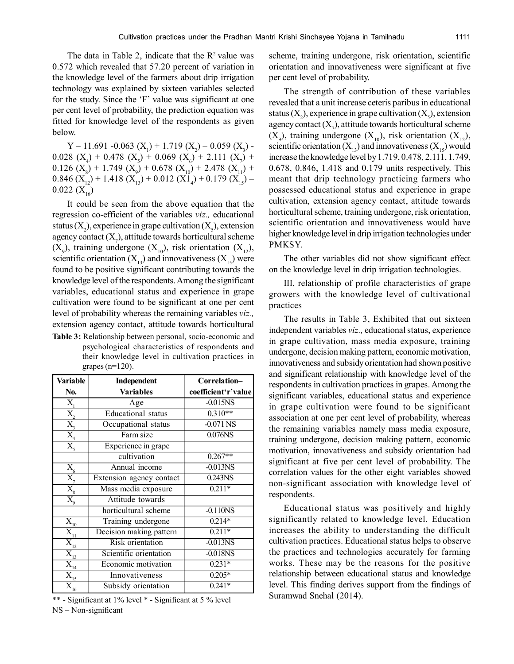The data in Table 2, indicate that the  $R<sup>2</sup>$  value was 0.572 which revealed that 57.20 percent of variation in the knowledge level of the farmers about drip irrigation technology was explained by sixteen variables selected for the study. Since the 'F' value was significant at one per cent level of probability, the prediction equation was fitted for knowledge level of the respondents as given below.

 $Y = 11.691 - 0.063 (X_1) + 1.719 (X_2) - 0.059 (X_3)$ 0.028 (X<sub>4</sub>) + 0.478 (X<sub>5</sub>) + 0.069 (X<sub>6</sub>) + 2.111 (X<sub>7</sub>) + 0.126 (X<sub>8</sub>) + 1.749 (X<sub>9</sub>) + 0.678 (X<sub>10</sub>) + 2.478 (X<sub>11</sub>) + 0.846 ( $X_{12}$ ) + 1.418 ( $X_{13}$ ) + 0.012 ( $X1_4$ ) + 0.179 ( $X_{15}$ ) –  $0.022$  (X<sub>16</sub>)

It could be seen from the above equation that the regression co-efficient of the variables *viz.,* educational status (X<sub>2</sub>), experience in grape cultivation (X<sub>5</sub>), extension agency contact  $(X_7)$ , attitude towards horticultural scheme  $(X_9)$ , training undergone  $(X_{10})$ , risk orientation  $(X_{12})$ , scientific orientation  $(X_{13})$  and innovativeness  $(X_{15})$  were found to be positive significant contributing towards the knowledge level of the respondents. Among the significant variables, educational status and experience in grape cultivation were found to be significant at one per cent level of probability whereas the remaining variables *viz.,* extension agency contact, attitude towards horticultural

**Table 3:** Relationship between personal, socio-economic and psychological characteristics of respondents and their knowledge level in cultivation practices in grapes  $(n=120)$ .

| <b>Variable</b>                                  | Independent               | Correlation-                 |
|--------------------------------------------------|---------------------------|------------------------------|
| No.                                              | <b>Variables</b>          | coefficient'r'value          |
| $\overline{X_i}$                                 | Age                       | $-0.015\overline{\text{NS}}$ |
| $\overline{X_{2}}$                               | <b>Educational</b> status | $0.310**$                    |
| $\overline{X_3}$                                 | Occupational status       | $-0.071$ NS                  |
| $\overline{X}_4$                                 | Farm size                 | 0.076NS                      |
| $\overline{X_{\varsigma}}$                       | Experience in grape       |                              |
|                                                  | cultivation               | $0.267**$                    |
| $\frac{X_6}{X_7}$                                | Annual income             | $-0.013$ <sub>NS</sub>       |
|                                                  | Extension agency contact  | 0.243NS                      |
| $\overline{X_8} \overline{X_9}$                  | Mass media exposure       | $0.\overline{211*}$          |
|                                                  | Attitude towards          |                              |
|                                                  | horticultural scheme      | $-0.110NS$                   |
| $\overline{\mathbf{X}}_{\underline{10}}$         | Training undergone        | $0.214*$                     |
| $\overline{\mathrm{X}_{_{11}}}$                  | Decision making pattern   | $0.211*$                     |
| $\overline{X}_{\underline{\mathbf{12}}}$         | Risk orientation          | $-0.013$ <sub>NS</sub>       |
| $\overline{\mathbf{X}}_{\underline{13}}$         | Scientific orientation    | $-0.018$ NS                  |
| $\overline{X_{_{14}}}$                           | Economic motivation       | $0.231*$                     |
| $\overline{\mathrm{X}}_{\overline{\mathrm{15}}}$ | Innovativeness            | $0.205*$                     |
| $\overline{\mathbf{X}}_{\mathbf{16}}$            | Subsidy orientation       | $\overline{0.241*}$          |

\*\* - Significant at 1% level \* - Significant at 5 % level NS – Non-significant

scheme, training undergone, risk orientation, scientific orientation and innovativeness were significant at five per cent level of probability.

The strength of contribution of these variables revealed that a unit increase ceteris paribus in educational status (X<sub>2</sub>), experience in grape cultivation (X<sub>5</sub>), extension agency contact  $(X_7)$ , attitude towards horticultural scheme  $(X_9)$ , training undergone  $(X_{10})$ , risk orientation  $(X_{12})$ , scientific orientation  $(X_{13})$  and innovativeness  $(X_{15})$  would increase the knowledge level by 1.719, 0.478, 2.111, 1.749, 0.678, 0.846, 1.418 and 0.179 units respectively. This meant that drip technology practicing farmers who possessed educational status and experience in grape cultivation, extension agency contact, attitude towards horticultural scheme, training undergone, risk orientation, scientific orientation and innovativeness would have higher knowledge level in drip irrigation technologies under PMKSY.

The other variables did not show significant effect on the knowledge level in drip irrigation technologies.

III. relationship of profile characteristics of grape growers with the knowledge level of cultivational practices

The results in Table 3, Exhibited that out sixteen independent variables *viz.,* educational status, experience in grape cultivation, mass media exposure, training undergone, decision making pattern, economic motivation, innovativeness and subsidy orientation had shown positive and significant relationship with knowledge level of the respondents in cultivation practices in grapes. Among the significant variables, educational status and experience in grape cultivation were found to be significant association at one per cent level of probability, whereas the remaining variables namely mass media exposure, training undergone, decision making pattern, economic motivation, innovativeness and subsidy orientation had significant at five per cent level of probability. The correlation values for the other eight variables showed non-significant association with knowledge level of respondents.

Educational status was positively and highly significantly related to knowledge level. Education increases the ability to understanding the difficult cultivation practices. Educational status helps to observe the practices and technologies accurately for farming works. These may be the reasons for the positive relationship between educational status and knowledge level. This finding derives support from the findings of Suramwad Snehal (2014).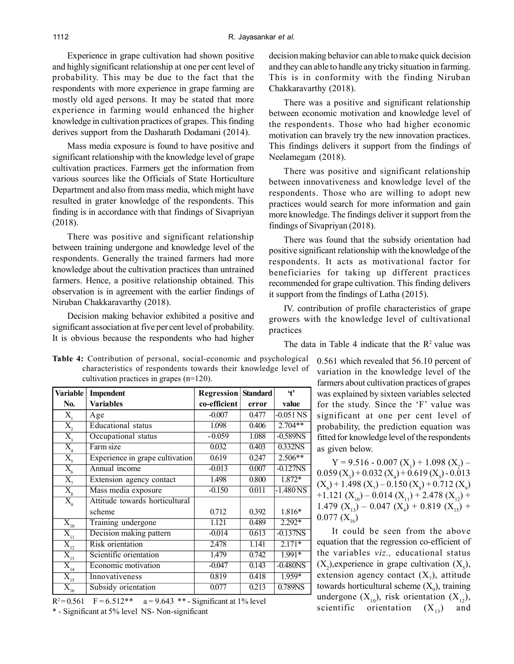Experience in grape cultivation had shown positive and highly significant relationship at one per cent level of probability. This may be due to the fact that the respondents with more experience in grape farming are mostly old aged persons. It may be stated that more experience in farming would enhanced the higher knowledge in cultivation practices of grapes. This finding derives support from the Dasharath Dodamani (2014).

Mass media exposure is found to have positive and significant relationship with the knowledge level of grape cultivation practices. Farmers get the information from various sources like the Officials of State Horticulture Department and also from mass media, which might have resulted in grater knowledge of the respondents. This finding is in accordance with that findings of Sivapriyan (2018).

There was positive and significant relationship between training undergone and knowledge level of the respondents. Generally the trained farmers had more knowledge about the cultivation practices than untrained farmers. Hence, a positive relationship obtained. This observation is in agreement with the earlier findings of Niruban Chakkaravarthy (2018).

Decision making behavior exhibited a positive and significant association at five per cent level of probability. It is obvious because the respondents who had higher decision making behavior can able to make quick decision and they can able to handle any tricky situation in farming. This is in conformity with the finding Niruban Chakkaravarthy (2018).

There was a positive and significant relationship between economic motivation and knowledge level of the respondents. Those who had higher economic motivation can bravely try the new innovation practices. This findings delivers it support from the findings of Neelamegam (2018).

There was positive and significant relationship between innovativeness and knowledge level of the respondents. Those who are willing to adopt new practices would search for more information and gain more knowledge. The findings deliver it support from the findings of Sivapriyan (2018).

There was found that the subsidy orientation had positive significant relationship with the knowledge of the respondents. It acts as motivational factor for beneficiaries for taking up different practices recommended for grape cultivation. This finding delivers it support from the findings of Latha (2015).

IV. contribution of profile characteristics of grape growers with the knowledge level of cultivational practices

The data in Table 4 indicate that the  $R<sup>2</sup>$  value was

**Table 4:** Contribution of personal, social-economic and psychological characteristics of respondents towards their knowledge level of cultivation practices in grapes (n=120).

**Variable Impendent Regression Standard 't' No. Variables co-efficient error value**  $X_1$  | Age |  $-0.007$  |  $0.477$  |  $-0.051$  NS  $\frac{\overline{X_2}}{\overline{X_2}}$ Educational status 1.098 0.406 2.704\*\* Occupational status - 0.059 1.088 -0.589NS<br>
Farm size 0.032 0.403 0.332NS  $\overline{\mathrm{X}}_\mathrm{4}$ Farm size  $\overline{X_s}$ Experience in grape cultivation 0.619 0.247 2.506\*\* Annual income  $-0.013$  0.007  $-0.127$ NS<br>Extension agency contact 1.498 0.800 1.872\*  $\overline{X_{7}}$ <br> $\overline{X_{8}}$ Extension agency contact 1.498 0.800  $\frac{X_8}{X_8}$  Mass media exposure -0.150 0.011 -1.480 NS<br> $\frac{X_8}{X_9}$  Attitude towards horticultural Attitude towards horticultural<br>scheme scheme 1.816\*  $\overline{X}_{10}$  Training undergone 1.121 0.489 2.292\*<br> $\overline{X}_{10}$  Decision making pattern  $-0.014$  0.613 -0.137N; X<sup>11</sup> Decision making pattern -0.014 0.613 -0.137NS  $X_{12}$  Risk orientation 2.478 1.141<br>  $X_{13}$  Scientific orientation 1.479 0.742  $\overline{X}_{13}$  Scientific orientation 1.479 0.742 1.991\*<br>  $\overline{X}_{14}$  Economic motivation  $-0.047$  0.143 -0.480NS  $\begin{array}{c|c|c|c|c}\n \hline\n X_{14} & \text{Economic motivation} \\
 \hline\n X_{15} & \text{Innovativeness} \\
 \hline\n \end{array}$   $\begin{array}{c|c|c|c}\n -0.047 & 0.143 & -0.480N5 \\
 \hline\n 0.819 & 0.418 & 1.959*\n \end{array}$  $X_{15}$  Innovativeness 0.819 0.418 1.959\*<br> $X_{16}$  Subsidy orientation 0.077 0.213 0.789NS Subsidy orientation

 $R^2 = 0.561$  F = 6.512\*\* a = 9.643 \*\* - Significant at 1% level

\* - Significant at 5% level NS- Non-significant

0.561 which revealed that 56.10 percent of variation in the knowledge level of the farmers about cultivation practices of grapes was explained by sixteen variables selected for the study. Since the 'F' value was significant at one per cent level of probability, the prediction equation was fitted for knowledge level of the respondents as given below.

 $Y = 9.516 - 0.007 (X_1) + 1.098 (X_2) 0.059$  (X<sub>3</sub>) + 0.032 (X<sub>4</sub>) + 0.619 (X<sub>5</sub>) - 0.013  $(X_6)$  + 1.498  $(X_7)$  – 0.150  $(X_8)$  + 0.712  $(X_9)$ +1.121 ( $X_{10}$ ) – 0.014 ( $X_{11}$ ) + 2.478 ( $X_{12}$ ) +  $1.479$  (X<sub>13</sub>) – 0.047 (X<sub>4</sub>) + 0.819 (X<sub>15</sub>) +  $0.077$  (X<sub>16</sub>)

It could be seen from the above equation that the regression co-efficient of the variables *viz.,* educational status  $(X_2)$ , experience in grape cultivation  $(X_5)$ , extension agency contact  $(X_7)$ , attitude towards horticultural scheme  $(X_{9})$ , training undergone  $(X_{10})$ , risk orientation  $(X_{12})$ ,<br>scientific orientation  $(X_{13})$  and orientation  $(X_{13})$  and